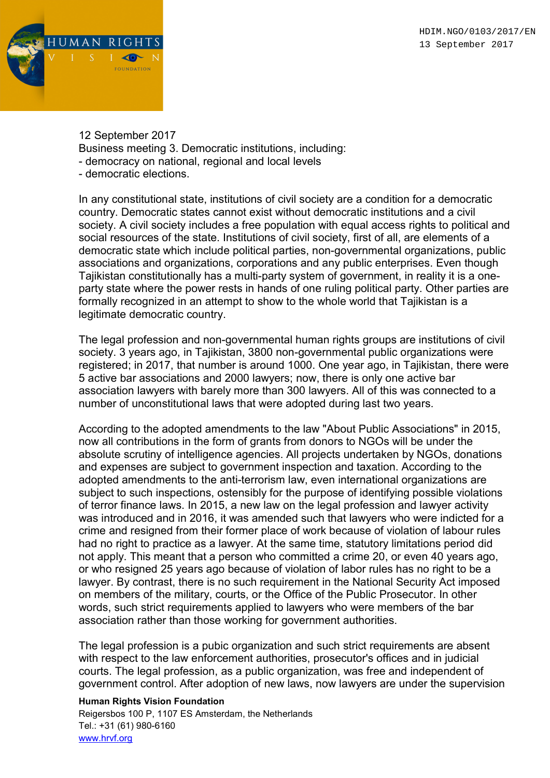

12 September 2017 Business meeting 3. Democratic institutions, including: - democracy on national, regional and local levels - democratic elections.

In any constitutional state, institutions of civil society are a condition for a democratic country. Democratic states cannot exist without democratic institutions and a civil society. A civil society includes a free population with equal access rights to political and social resources of the state. Institutions of civil society, first of all, are elements of a democratic state which include political parties, non-governmental organizations, public associations and organizations, corporations and any public enterprises. Even though Tajikistan constitutionally has a multi-party system of government, in reality it is a oneparty state where the power rests in hands of one ruling political party. Other parties are formally recognized in an attempt to show to the whole world that Tajikistan is a legitimate democratic country.

The legal profession and non-governmental human rights groups are institutions of civil society. 3 years ago, in Tajikistan, 3800 non-governmental public organizations were registered; in 2017, that number is around 1000. One year ago, in Tajikistan, there were 5 active bar associations and 2000 lawyers; now, there is only one active bar association lawyers with barely more than 300 lawyers. All of this was connected to a number of unconstitutional laws that were adopted during last two years.

According to the adopted amendments to the law "About Public Associations" in 2015, now all contributions in the form of grants from donors to NGOs will be under the absolute scrutiny of intelligence agencies. All projects undertaken by NGOs, donations and expenses are subject to government inspection and taxation. According to the adopted amendments to the anti-terrorism law, even international organizations are subject to such inspections, ostensibly for the purpose of identifying possible violations of terror finance laws. In 2015, a new law on the legal profession and lawyer activity was introduced and in 2016, it was amended such that lawyers who were indicted for a crime and resigned from their former place of work because of violation of labour rules had no right to practice as a lawyer. At the same time, statutory limitations period did not apply. This meant that a person who committed a crime 20, or even 40 years ago, or who resigned 25 years ago because of violation of labor rules has no right to be a lawyer. By contrast, there is no such requirement in the National Security Act imposed on members of the military, courts, or the Office of the Public Prosecutor. In other words, such strict requirements applied to lawyers who were members of the bar association rather than those working for government authorities.

The legal profession is a pubіс organization and such strict requirements are absent with respect to the law enforcement authorities, prosecutor's offices and in judicial courts. The legal profession, as a public organization, was free and independent of government control. After adoption of new laws, now lawyers are under the supervision

Human Rights Vision Foundation

Reigersbos 100 P, 1107 ES Amsterdam, the Netherlands Tel.: +31 (61) 980-6160 www.hrvf.org